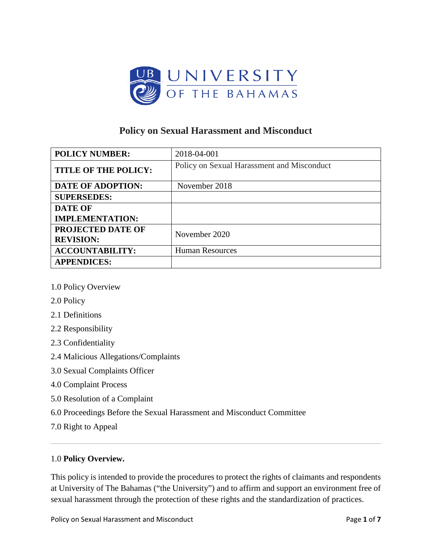

# **Policy on Sexual Harassment and Misconduct**

| <b>POLICY NUMBER:</b>       | 2018-04-001                                |
|-----------------------------|--------------------------------------------|
| <b>TITLE OF THE POLICY:</b> | Policy on Sexual Harassment and Misconduct |
| <b>DATE OF ADOPTION:</b>    | November 2018                              |
| <b>SUPERSEDES:</b>          |                                            |
| <b>DATE OF</b>              |                                            |
| <b>IMPLEMENTATION:</b>      |                                            |
| <b>PROJECTED DATE OF</b>    | November 2020                              |
| <b>REVISION:</b>            |                                            |
| <b>ACCOUNTABILITY:</b>      | <b>Human Resources</b>                     |
| <b>APPENDICES:</b>          |                                            |

- [1.0 Policy Overview](http://www.clayton.edu/human-resources/Sexual-Harassment-Policy#one)
- [2.0 Policy](http://www.clayton.edu/human-resources/Sexual-Harassment-Policy#two)
- [2.1 Definitions](http://www.clayton.edu/human-resources/Sexual-Harassment-Policy#twoone)
- [2.2 Responsibility](http://www.clayton.edu/human-resources/Sexual-Harassment-Policy#twotwo)
- [2.3 Confidentiality](http://www.clayton.edu/human-resources/Sexual-Harassment-Policy#twothree)
- [2.4 Malicious Allegations/Complaints](http://www.clayton.edu/human-resources/Sexual-Harassment-Policy#twofour)
- 3.0 Sexual Complaints Officer
- [4.0 Complaint](http://www.clayton.edu/human-resources/Sexual-Harassment-Policy#three) Process
- [5.0 Resolution of a Complaint](http://www.clayton.edu/human-resources/Sexual-Harassment-Policy#four)
- 6.0 Proceedings Before the Sexual Harassment and Misconduct Committee
- [7.0 Right to Appeal](http://www.clayton.edu/human-resources/Sexual-Harassment-Policy#five)

## 1.0 **Policy Overview.**

This policy is intended to provide the procedures to protect the rights of claimants and respondents at University of The Bahamas ("the University") and to affirm and support an environment free of sexual harassment through the protection of these rights and the standardization of practices.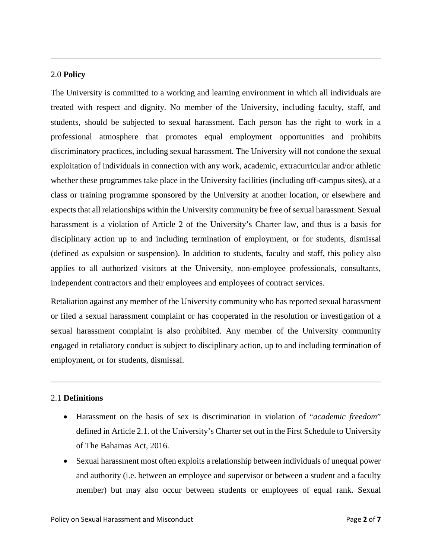### 2.0 **Policy**

The University is committed to a working and learning environment in which all individuals are treated with respect and dignity. No member of the University, including faculty, staff, and students, should be subjected to sexual harassment. Each person has the right to work in a professional atmosphere that promotes equal employment opportunities and prohibits discriminatory practices, including sexual harassment. The University will not condone the sexual exploitation of individuals in connection with any work, academic, extracurricular and/or athletic whether these programmes take place in the University facilities (including off-campus sites), at a class or training programme sponsored by the University at another location, or elsewhere and expects that all relationships within the University community be free of sexual harassment. Sexual harassment is a violation of Article 2 of the University's Charter law, and thus is a basis for disciplinary action up to and including termination of employment, or for students, dismissal (defined as expulsion or suspension). In addition to students, faculty and staff, this policy also applies to all authorized visitors at the University, non-employee professionals, consultants, independent contractors and their employees and employees of contract services.

Retaliation against any member of the University community who has reported sexual harassment or filed a sexual harassment complaint or has cooperated in the resolution or investigation of a sexual harassment complaint is also prohibited. Any member of the University community engaged in retaliatory conduct is subject to disciplinary action, up to and including termination of employment, or for students, dismissal.

#### 2.1 **Definitions**

- Harassment on the basis of sex is discrimination in violation of "*academic freedom*" defined in Article 2.1. of the University's Charter set out in the First Schedule to University of The Bahamas Act, 2016.
- Sexual harassment most often exploits a relationship between individuals of unequal power and authority (i.e. between an employee and supervisor or between a student and a faculty member) but may also occur between students or employees of equal rank. Sexual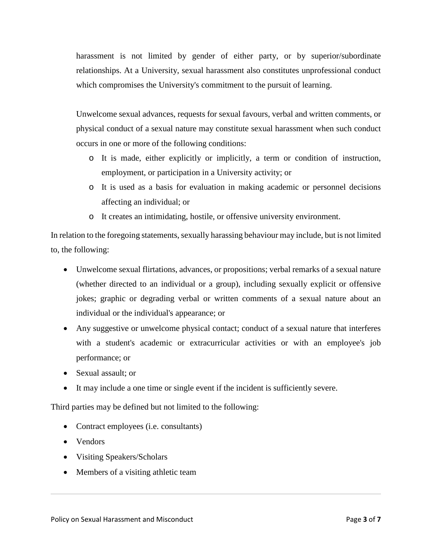harassment is not limited by gender of either party, or by superior/subordinate relationships. At a University, sexual harassment also constitutes unprofessional conduct which compromises the University's commitment to the pursuit of learning.

Unwelcome sexual advances, requests for sexual favours, verbal and written comments, or physical conduct of a sexual nature may constitute sexual harassment when such conduct occurs in one or more of the following conditions:

- o It is made, either explicitly or implicitly, a term or condition of instruction, employment, or participation in a University activity; or
- o It is used as a basis for evaluation in making academic or personnel decisions affecting an individual; or
- o It creates an intimidating, hostile, or offensive university environment.

In relation to the foregoing statements, sexually harassing behaviour may include, but is not limited to, the following:

- Unwelcome sexual flirtations, advances, or propositions; verbal remarks of a sexual nature (whether directed to an individual or a group), including sexually explicit or offensive jokes; graphic or degrading verbal or written comments of a sexual nature about an individual or the individual's appearance; or
- Any suggestive or unwelcome physical contact; conduct of a sexual nature that interferes with a student's academic or extracurricular activities or with an employee's job performance; or
- Sexual assault; or
- It may include a one time or single event if the incident is sufficiently severe.

Third parties may be defined but not limited to the following:

- Contract employees (i.e. consultants)
- Vendors
- Visiting Speakers/Scholars
- Members of a visiting athletic team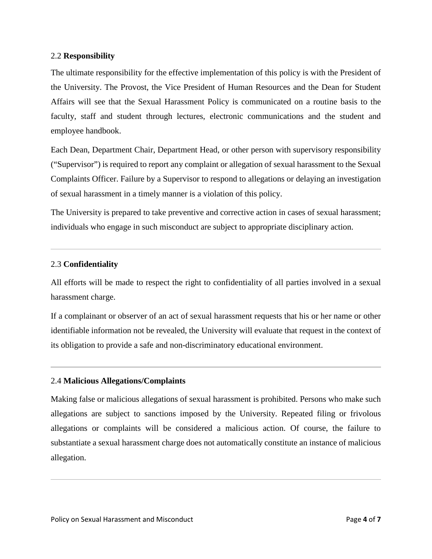### 2.2 **Responsibility**

The ultimate responsibility for the effective implementation of this policy is with the President of the University. The Provost, the Vice President of Human Resources and the Dean for Student Affairs will see that the Sexual Harassment Policy is communicated on a routine basis to the faculty, staff and student through lectures, electronic communications and the student and employee handbook.

Each Dean, Department Chair, Department Head, or other person with supervisory responsibility ("Supervisor") is required to report any complaint or allegation of sexual harassment to the Sexual Complaints Officer. Failure by a Supervisor to respond to allegations or delaying an investigation of sexual harassment in a timely manner is a violation of this policy.

The University is prepared to take preventive and corrective action in cases of sexual harassment; individuals who engage in such misconduct are subject to appropriate disciplinary action.

## 2.3 **Confidentiality**

All efforts will be made to respect the right to confidentiality of all parties involved in a sexual harassment charge.

If a complainant or observer of an act of sexual harassment requests that his or her name or other identifiable information not be revealed, the University will evaluate that request in the context of its obligation to provide a safe and non-discriminatory educational environment.

## 2.4 **Malicious Allegations/Complaints**

Making false or malicious allegations of sexual harassment is prohibited. Persons who make such allegations are subject to sanctions imposed by the University. Repeated filing or frivolous allegations or complaints will be considered a malicious action. Of course, the failure to substantiate a sexual harassment charge does not automatically constitute an instance of malicious allegation.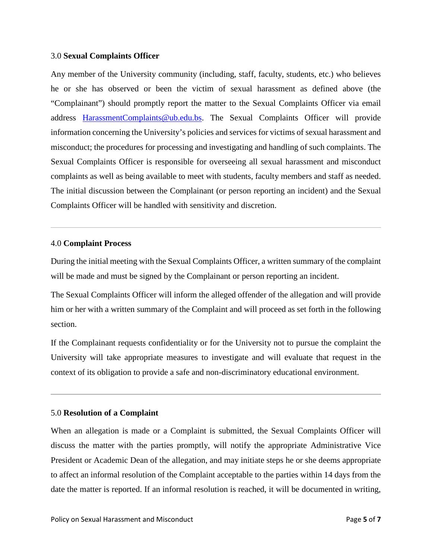#### 3.0 **Sexual Complaints Officer**

Any member of the University community (including, staff, faculty, students, etc.) who believes he or she has observed or been the victim of sexual harassment as defined above (the "Complainant") should promptly report the matter to the Sexual Complaints Officer via email address [HarassmentComplaints@ub.edu.bs.](mailto:HarassmentComplaints@ub.edu.bs) The Sexual Complaints Officer will provide information concerning the University's policies and services for victims of sexual harassment and misconduct; the procedures for processing and investigating and handling of such complaints. The Sexual Complaints Officer is responsible for overseeing all sexual harassment and misconduct complaints as well as being available to meet with students, faculty members and staff as needed. The initial discussion between the Complainant (or person reporting an incident) and the Sexual Complaints Officer will be handled with sensitivity and discretion.

### 4.0 **Complaint Process**

During the initial meeting with the Sexual Complaints Officer, a written summary of the complaint will be made and must be signed by the Complainant or person reporting an incident.

The Sexual Complaints Officer will inform the alleged offender of the allegation and will provide him or her with a written summary of the Complaint and will proceed as set forth in the following section.

If the Complainant requests confidentiality or for the University not to pursue the complaint the University will take appropriate measures to investigate and will evaluate that request in the context of its obligation to provide a safe and non-discriminatory educational environment.

## 5.0 **Resolution of a Complaint**

When an allegation is made or a Complaint is submitted, the Sexual Complaints Officer will discuss the matter with the parties promptly, will notify the appropriate Administrative Vice President or Academic Dean of the allegation, and may initiate steps he or she deems appropriate to affect an informal resolution of the Complaint acceptable to the parties within 14 days from the date the matter is reported. If an informal resolution is reached, it will be documented in writing,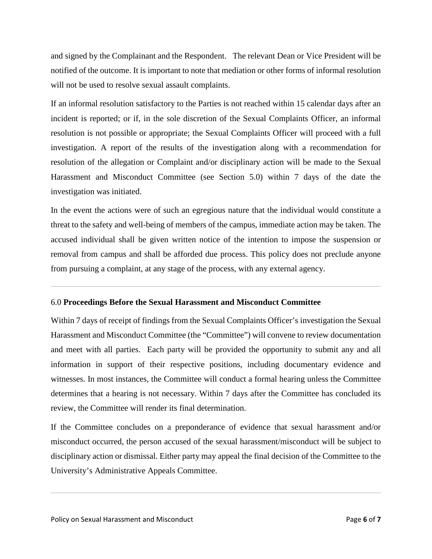and signed by the Complainant and the Respondent. The relevant Dean or Vice President will be notified of the outcome. It is important to note that mediation or other forms of informal resolution will not be used to resolve sexual assault complaints.

If an informal resolution satisfactory to the Parties is not reached within 15 calendar days after an incident is reported; or if, in the sole discretion of the Sexual Complaints Officer, an informal resolution is not possible or appropriate; the Sexual Complaints Officer will proceed with a full investigation. A report of the results of the investigation along with a recommendation for resolution of the allegation or Complaint and/or disciplinary action will be made to the Sexual Harassment and Misconduct Committee (see Section 5.0) within 7 days of the date the investigation was initiated.

In the event the actions were of such an egregious nature that the individual would constitute a threat to the safety and well-being of members of the campus, immediate action may be taken. The accused individual shall be given written notice of the intention to impose the suspension or removal from campus and shall be afforded due process. This policy does not preclude anyone from pursuing a complaint, at any stage of the process, with any external agency.

## 6.0 **Proceedings Before the Sexual Harassment and Misconduct Committee**

Within 7 days of receipt of findings from the Sexual Complaints Officer's investigation the Sexual Harassment and Misconduct Committee (the "Committee") will convene to review documentation and meet with all parties. Each party will be provided the opportunity to submit any and all information in support of their respective positions, including documentary evidence and witnesses. In most instances, the Committee will conduct a formal hearing unless the Committee determines that a hearing is not necessary. Within 7 days after the Committee has concluded its review, the Committee will render its final determination.

If the Committee concludes on a preponderance of evidence that sexual harassment and/or misconduct occurred, the person accused of the sexual harassment/misconduct will be subject to disciplinary action or dismissal. Either party may appeal the final decision of the Committee to the University's Administrative Appeals Committee.